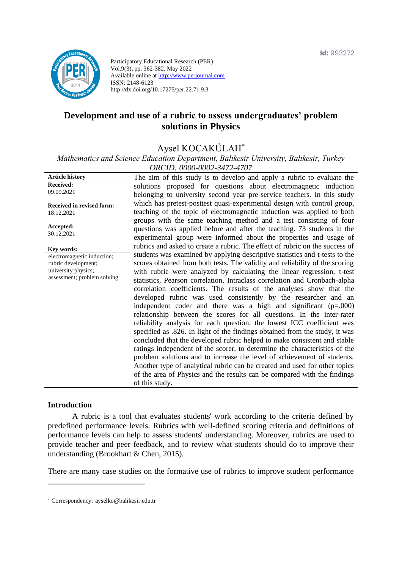

Participatory Educational Research (PER) Vol.9(3), pp. 362-382, May 2022 Available online at http://www.perjournal.com ISSN: 2148-6123 http://dx.doi.org/10.17275/per.22.71.9.3

# **Development and use of a rubric to assess undergraduates' problem solutions in Physics**

# Aysel KOCAKÜLAH\*

*Mathematics and Science Education Department, Balıkesir University, Balıkesir, Turkey ORCID: 0000-0002-3472-4707*

| <b>Article history</b>                                                                                  | The aim of this study is to develop and apply a rubric to evaluate the                                                                                                                                                                                                                                                                                                                                                                                                                                                                                                                                                                                                                                                                                                                                                                                                                                                                                                                                                                                                                                                                                                               |
|---------------------------------------------------------------------------------------------------------|--------------------------------------------------------------------------------------------------------------------------------------------------------------------------------------------------------------------------------------------------------------------------------------------------------------------------------------------------------------------------------------------------------------------------------------------------------------------------------------------------------------------------------------------------------------------------------------------------------------------------------------------------------------------------------------------------------------------------------------------------------------------------------------------------------------------------------------------------------------------------------------------------------------------------------------------------------------------------------------------------------------------------------------------------------------------------------------------------------------------------------------------------------------------------------------|
| Received:<br>09.09.2021                                                                                 | solutions proposed for questions about electromagnetic induction<br>belonging to university second year pre-service teachers. In this study                                                                                                                                                                                                                                                                                                                                                                                                                                                                                                                                                                                                                                                                                                                                                                                                                                                                                                                                                                                                                                          |
| <b>Received in revised form:</b><br>18.12.2021                                                          | which has pretest-posttest quasi-experimental design with control group,<br>teaching of the topic of electromagnetic induction was applied to both<br>groups with the same teaching method and a test consisting of four                                                                                                                                                                                                                                                                                                                                                                                                                                                                                                                                                                                                                                                                                                                                                                                                                                                                                                                                                             |
| Accepted:<br>30.12.2021                                                                                 | questions was applied before and after the teaching. 73 students in the<br>experimental group were informed about the properties and usage of                                                                                                                                                                                                                                                                                                                                                                                                                                                                                                                                                                                                                                                                                                                                                                                                                                                                                                                                                                                                                                        |
| Key words:                                                                                              | rubrics and asked to create a rubric. The effect of rubric on the success of                                                                                                                                                                                                                                                                                                                                                                                                                                                                                                                                                                                                                                                                                                                                                                                                                                                                                                                                                                                                                                                                                                         |
| electromagnetic induction;<br>rubric development;<br>university physics;<br>assessment; problem solving | students was examined by applying descriptive statistics and t-tests to the<br>scores obtained from both tests. The validity and reliability of the scoring<br>with rubric were analyzed by calculating the linear regression, t-test<br>statistics, Pearson correlation, Intraclass correlation and Cronbach-alpha<br>correlation coefficients. The results of the analyses show that the<br>developed rubric was used consistently by the researcher and an<br>independent coder and there was a high and significant $(p=000)$<br>relationship between the scores for all questions. In the inter-rater<br>reliability analysis for each question, the lowest ICC coefficient was<br>specified as .826. In light of the findings obtained from the study, it was<br>concluded that the developed rubric helped to make consistent and stable<br>ratings independent of the scorer, to determine the characteristics of the<br>problem solutions and to increase the level of achievement of students.<br>Another type of analytical rubric can be created and used for other topics<br>of the area of Physics and the results can be compared with the findings<br>of this study. |

#### **Introduction**

A rubric is a tool that evaluates students' work according to the criteria defined by predefined performance levels. Rubrics with well-defined scoring criteria and definitions of performance levels can help to assess students' understanding. Moreover, rubrics are used to provide teacher and peer feedback, and to review what students should do to improve their understanding (Brookhart & Chen, 2015).

There are many case studies on the formative use of rubrics to improve student performance

<sup>\*</sup> [Correspondency:](mailto:Correspondency:) ayselko@balikesir.edu.tr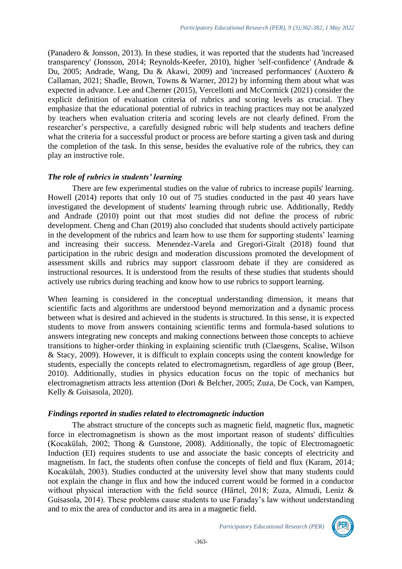(Panadero & Jonsson, 2013). In these studies, it was reported that the students had 'increased transparency' (Jonsson, 2014; Reynolds-Keefer, 2010), higher 'self-confidence' (Andrade & Du, 2005; Andrade, Wang, Du & Akawi, 2009) and 'increased performances' (Auxtero & Callaman, 2021; Shadle, Brown, Towns & Warner, 2012) by informing them about what was expected in advance. Lee and Cherner (2015), Vercellotti and McCormick (2021) consider the explicit definition of evaluation criteria of rubrics and scoring levels as crucial. They emphasize that the educational potential of rubrics in teaching practices may not be analyzed by teachers when evaluation criteria and scoring levels are not clearly defined. From the researcher's perspective, a carefully designed rubric will help students and teachers define what the criteria for a successful product or process are before starting a given task and during the completion of the task. In this sense, besides the evaluative role of the rubrics, they can play an instructive role.

#### *The role of rubrics in students' learning*

There are few experimental studies on the value of rubrics to increase pupils' learning. Howell (2014) reports that only 10 out of 75 studies conducted in the past 40 years have investigated the development of students' learning through rubric use. Additionally, Reddy and Andrade (2010) point out that most studies did not define the process of rubric development. Cheng and Chan (2019) also concluded that students should actively participate in the development of the rubrics and learn how to use them for supporting students' learning and increasing their success. Menendez-Varela and Gregori-Giralt (2018) found that participation in the rubric design and moderation discussions promoted the development of assessment skills and rubrics may support classroom debate if they are considered as instructional resources. It is understood from the results of these studies that students should actively use rubrics during teaching and know how to use rubrics to support learning.

When learning is considered in the conceptual understanding dimension, it means that scientific facts and algorithms are understood beyond memorization and a dynamic process between what is desired and achieved in the students is structured. In this sense, it is expected students to move from answers containing scientific terms and formula-based solutions to answers integrating new concepts and making connections between those concepts to achieve transitions to higher-order thinking in explaining scientific truth (Claesgens, Scalise, Wilson & Stacy, 2009). However, it is difficult to explain concepts using the content knowledge for students, especially the concepts related to electromagnetism, regardless of age group (Beer, 2010). Additionally, studies in physics education focus on the topic of mechanics but electromagnetism attracts less attention (Dori & Belcher, 2005; Zuza, De Cock, van Kampen, Kelly & Guisasola, 2020).

#### *Findings reported in studies related to electromagnetic induction*

The abstract structure of the concepts such as magnetic field, magnetic flux, magnetic force in electromagnetism is shown as the most important reason of students' difficulties (Kocakülah, 2002; Thong & Gunstone, 2008). Additionally, the topic of Electromagnetic Induction (EI) requires students to use and associate the basic concepts of electricity and magnetism. In fact, the students often confuse the concepts of field and flux (Karam, 2014; Kocakülah, 2003). Studies conducted at the university level show that many students could not explain the change in flux and how the induced current would be formed in a conductor without physical interaction with the field source (Härtel, 2018; Zuza, Almudi, Leniz & Guisasola, 2014). These problems cause students to use Faraday's law without understanding and to mix the area of conductor and its area in a magnetic field.

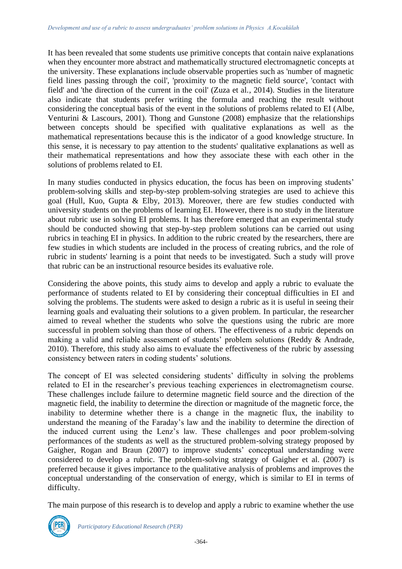It has been revealed that some students use primitive concepts that contain naive explanations when they encounter more abstract and mathematically structured electromagnetic concepts at the university. These explanations include observable properties such as 'number of magnetic field lines passing through the coil', 'proximity to the magnetic field source', 'contact with field' and 'the direction of the current in the coil' (Zuza et al., 2014). Studies in the literature also indicate that students prefer writing the formula and reaching the result without considering the conceptual basis of the event in the solutions of problems related to EI (Albe, Venturini & Lascours, 2001). Thong and Gunstone (2008) emphasize that the relationships between concepts should be specified with qualitative explanations as well as the mathematical representations because this is the indicator of a good knowledge structure. In this sense, it is necessary to pay attention to the students' qualitative explanations as well as their mathematical representations and how they associate these with each other in the solutions of problems related to EI.

In many studies conducted in physics education, the focus has been on improving students' problem-solving skills and step-by-step problem-solving strategies are used to achieve this goal (Hull, Kuo, Gupta & Elby, 2013). Moreover, there are few studies conducted with university students on the problems of learning EI. However, there is no study in the literature about rubric use in solving EI problems. It has therefore emerged that an experimental study should be conducted showing that step-by-step problem solutions can be carried out using rubrics in teaching EI in physics. In addition to the rubric created by the researchers, there are few studies in which students are included in the process of creating rubrics, and the role of rubric in students' learning is a point that needs to be investigated. Such a study will prove that rubric can be an instructional resource besides its evaluative role.

Considering the above points, this study aims to develop and apply a rubric to evaluate the performance of students related to EI by considering their conceptual difficulties in EI and solving the problems. The students were asked to design a rubric as it is useful in seeing their learning goals and evaluating their solutions to a given problem. In particular, the researcher aimed to reveal whether the students who solve the questions using the rubric are more successful in problem solving than those of others. The effectiveness of a rubric depends on making a valid and reliable assessment of students' problem solutions (Reddy & Andrade, 2010). Therefore, this study also aims to evaluate the effectiveness of the rubric by assessing consistency between raters in coding students' solutions.

The concept of EI was selected considering students' difficulty in solving the problems related to EI in the researcher's previous teaching experiences in electromagnetism course. These challenges include failure to determine magnetic field source and the direction of the magnetic field, the inability to determine the direction or magnitude of the magnetic force, the inability to determine whether there is a change in the magnetic flux, the inability to understand the meaning of the Faraday's law and the inability to determine the direction of the induced current using the Lenz's law. These challenges and poor problem-solving performances of the students as well as the structured problem-solving strategy proposed by Gaigher, Rogan and Braun (2007) to improve students' conceptual understanding were considered to develop a rubric. The problem-solving strategy of Gaigher et al. (2007) is preferred because it gives importance to the qualitative analysis of problems and improves the conceptual understanding of the conservation of energy, which is similar to EI in terms of difficulty.

The main purpose of this research is to develop and apply a rubric to examine whether the use

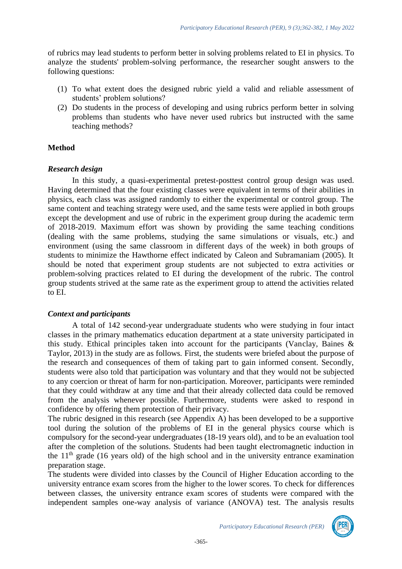of rubrics may lead students to perform better in solving problems related to EI in physics. To analyze the students' problem-solving performance, the researcher sought answers to the following questions:

- (1) To what extent does the designed rubric yield a valid and reliable assessment of students' problem solutions?
- (2) Do students in the process of developing and using rubrics perform better in solving problems than students who have never used rubrics but instructed with the same teaching methods?

# **Method**

# *Research design*

In this study, a quasi-experimental pretest-posttest control group design was used. Having determined that the four existing classes were equivalent in terms of their abilities in physics, each class was assigned randomly to either the experimental or control group. The same content and teaching strategy were used, and the same tests were applied in both groups except the development and use of rubric in the experiment group during the academic term of 2018-2019. Maximum effort was shown by providing the same teaching conditions (dealing with the same problems, studying the same simulations or visuals, etc.) and environment (using the same classroom in different days of the week) in both groups of students to minimize the Hawthorne effect indicated by Caleon and Subramaniam (2005). It should be noted that experiment group students are not subjected to extra activities or problem-solving practices related to EI during the development of the rubric. The control group students strived at the same rate as the experiment group to attend the activities related to EI.

# *Context and participants*

A total of 142 second-year undergraduate students who were studying in four intact classes in the primary mathematics education department at a state university participated in this study. Ethical principles taken into account for the participants (Vanclay, Baines & Taylor, 2013) in the study are as follows. First, the students were briefed about the purpose of the research and consequences of them of taking part to gain informed consent. Secondly, students were also told that participation was voluntary and that they would not be subjected to any coercion or threat of harm for non-participation. Moreover, participants were reminded that they could withdraw at any time and that their already collected data could be removed from the analysis whenever possible. Furthermore, students were asked to respond in confidence by offering them protection of their privacy.

The rubric designed in this research (see Appendix A) has been developed to be a supportive tool during the solution of the problems of EI in the general physics course which is compulsory for the second-year undergraduates (18-19 years old), and to be an evaluation tool after the completion of the solutions. Students had been taught electromagnetic induction in the  $11<sup>th</sup>$  grade (16 years old) of the high school and in the university entrance examination preparation stage.

The students were divided into classes by the Council of Higher Education according to the university entrance exam scores from the higher to the lower scores. To check for differences between classes, the university entrance exam scores of students were compared with the independent samples one-way analysis of variance (ANOVA) test. The analysis results

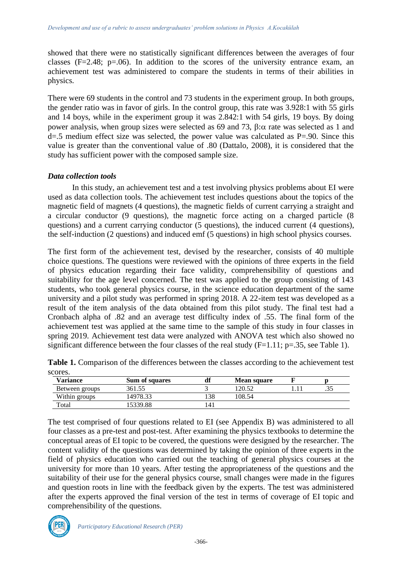showed that there were no statistically significant differences between the averages of four classes ( $F=2.48$ ;  $p=.06$ ). In addition to the scores of the university entrance exam, an achievement test was administered to compare the students in terms of their abilities in physics.

There were 69 students in the control and 73 students in the experiment group. In both groups, the gender ratio was in favor of girls. In the control group, this rate was 3.928:1 with 55 girls and 14 boys, while in the experiment group it was 2.842:1 with 54 girls, 19 boys. By doing power analysis, when group sizes were selected as 69 and 73,  $\beta$ : $\alpha$  rate was selected as 1 and d=.5 medium effect size was selected, the power value was calculated as P=.90. Since this value is greater than the conventional value of .80 (Dattalo, 2008), it is considered that the study has sufficient power with the composed sample size.

#### *Data collection tools*

In this study, an achievement test and a test involving physics problems about EI were used as data collection tools. The achievement test includes questions about the topics of the magnetic field of magnets (4 questions), the magnetic fields of current carrying a straight and a circular conductor (9 questions), the magnetic force acting on a charged particle (8 questions) and a current carrying conductor (5 questions), the induced current (4 questions), the self-induction (2 questions) and induced emf (5 questions) in high school physics courses.

The first form of the achievement test, devised by the researcher, consists of 40 multiple choice questions. The questions were reviewed with the opinions of three experts in the field of physics education regarding their face validity, comprehensibility of questions and suitability for the age level concerned. The test was applied to the group consisting of 143 students, who took general physics course, in the science education department of the same university and a pilot study was performed in spring 2018. A 22-item test was developed as a result of the item analysis of the data obtained from this pilot study. The final test had a Cronbach alpha of .82 and an average test difficulty index of .55. The final form of the achievement test was applied at the same time to the sample of this study in four classes in spring 2019. Achievement test data were analyzed with ANOVA test which also showed no significant difference between the four classes of the real study  $(F=1.11; p=.35$ , see Table 1).

| scores.         |                       |     |                    |       |
|-----------------|-----------------------|-----|--------------------|-------|
| <b>Variance</b> | <b>Sum of squares</b> | df  | <b>Mean square</b> |       |
| Between groups  | 361.55                |     | 120.52             | ر ر . |
| Within groups   | 14978.33              | .38 | 108.54             |       |
| Total           | 5339.88               | !41 |                    |       |

**Table 1.** Comparison of the differences between the classes according to the achievement test scores.

The test comprised of four questions related to EI (see Appendix B) was administered to all four classes as a pre-test and post-test. After examining the physics textbooks to determine the conceptual areas of EI topic to be covered, the questions were designed by the researcher. The content validity of the questions was determined by taking the opinion of three experts in the field of physics education who carried out the teaching of general physics courses at the university for more than 10 years. After testing the appropriateness of the questions and the suitability of their use for the general physics course, small changes were made in the figures and question roots in line with the feedback given by the experts. The test was administered after the experts approved the final version of the test in terms of coverage of EI topic and comprehensibility of the questions.

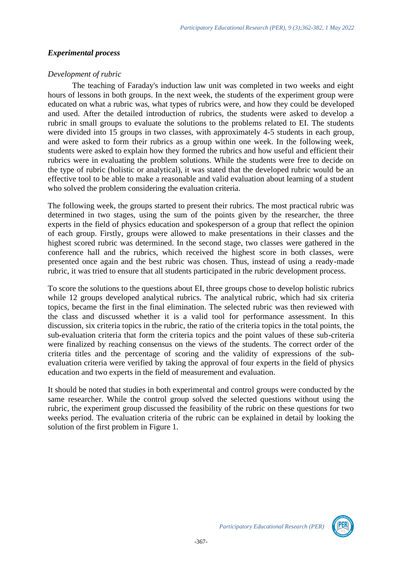#### *Experimental process*

#### *Development of rubric*

The teaching of Faraday's induction law unit was completed in two weeks and eight hours of lessons in both groups. In the next week, the students of the experiment group were educated on what a rubric was, what types of rubrics were, and how they could be developed and used. After the detailed introduction of rubrics, the students were asked to develop a rubric in small groups to evaluate the solutions to the problems related to EI. The students were divided into 15 groups in two classes, with approximately 4-5 students in each group, and were asked to form their rubrics as a group within one week. In the following week, students were asked to explain how they formed the rubrics and how useful and efficient their rubrics were in evaluating the problem solutions. While the students were free to decide on the type of rubric (holistic or analytical), it was stated that the developed rubric would be an effective tool to be able to make a reasonable and valid evaluation about learning of a student who solved the problem considering the evaluation criteria.

The following week, the groups started to present their rubrics. The most practical rubric was determined in two stages, using the sum of the points given by the researcher, the three experts in the field of physics education and spokesperson of a group that reflect the opinion of each group. Firstly, groups were allowed to make presentations in their classes and the highest scored rubric was determined. In the second stage, two classes were gathered in the conference hall and the rubrics, which received the highest score in both classes, were presented once again and the best rubric was chosen. Thus, instead of using a ready-made rubric, it was tried to ensure that all students participated in the rubric development process.

To score the solutions to the questions about EI, three groups chose to develop holistic rubrics while 12 groups developed analytical rubrics. The analytical rubric, which had six criteria topics, became the first in the final elimination. The selected rubric was then reviewed with the class and discussed whether it is a valid tool for performance assessment. In this discussion, six criteria topics in the rubric, the ratio of the criteria topics in the total points, the sub-evaluation criteria that form the criteria topics and the point values of these sub-criteria were finalized by reaching consensus on the views of the students. The correct order of the criteria titles and the percentage of scoring and the validity of expressions of the subevaluation criteria were verified by taking the approval of four experts in the field of physics education and two experts in the field of measurement and evaluation.

It should be noted that studies in both experimental and control groups were conducted by the same researcher. While the control group solved the selected questions without using the rubric, the experiment group discussed the feasibility of the rubric on these questions for two weeks period. The evaluation criteria of the rubric can be explained in detail by looking the solution of the first problem in Figure 1.

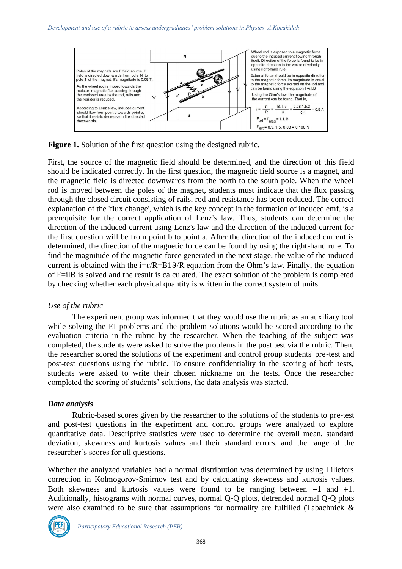

**Figure 1.** Solution of the first question using the designed rubric.

First, the source of the magnetic field should be determined, and the direction of this field should be indicated correctly. In the first question, the magnetic field source is a magnet, and the magnetic field is directed downwards from the north to the south pole. When the wheel rod is moved between the poles of the magnet, students must indicate that the flux passing through the closed circuit consisting of rails, rod and resistance has been reduced. The correct explanation of the 'flux change', which is the key concept in the formation of induced emf, is a prerequisite for the correct application of Lenz's law. Thus, students can determine the direction of the induced current using Lenz's law and the direction of the induced current for the first question will be from point b to point a. After the direction of the induced current is determined, the direction of the magnetic force can be found by using the right-hand rule. To find the magnitude of the magnetic force generated in the next stage, the value of the induced current is obtained with the  $i = \varepsilon/R = B19/R$  equation from the Ohm's law. Finally, the equation of F=ilB is solved and the result is calculated. The exact solution of the problem is completed by checking whether each physical quantity is written in the correct system of units.

# *Use of the rubric*

The experiment group was informed that they would use the rubric as an auxiliary tool while solving the EI problems and the problem solutions would be scored according to the evaluation criteria in the rubric by the researcher. When the teaching of the subject was completed, the students were asked to solve the problems in the post test via the rubric. Then, the researcher scored the solutions of the experiment and control group students' pre-test and post-test questions using the rubric. To ensure confidentiality in the scoring of both tests, students were asked to write their chosen nickname on the tests. Once the researcher completed the scoring of students' solutions, the data analysis was started.

# *Data analysis*

Rubric-based scores given by the researcher to the solutions of the students to pre-test and post-test questions in the experiment and control groups were analyzed to explore quantitative data. Descriptive statistics were used to determine the overall mean, standard deviation, skewness and kurtosis values and their standard errors, and the range of the researcher's scores for all questions.

Whether the analyzed variables had a normal distribution was determined by using Liliefors correction in Kolmogorov-Smirnov test and by calculating skewness and kurtosis values. Both skewness and kurtosis values were found to be ranging between −1 and +1. Additionally, histograms with normal curves, normal Q-Q plots, detrended normal Q-Q plots were also examined to be sure that assumptions for normality are fulfilled (Tabachnick &

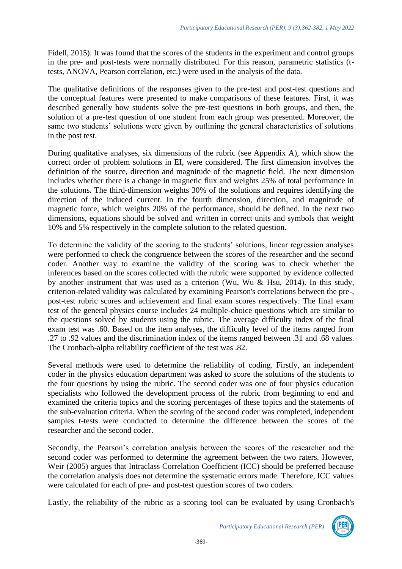Fidell, 2015). It was found that the scores of the students in the experiment and control groups in the pre- and post-tests were normally distributed. For this reason, parametric statistics (ttests, ANOVA, Pearson correlation, etc.) were used in the analysis of the data.

The qualitative definitions of the responses given to the pre-test and post-test questions and the conceptual features were presented to make comparisons of these features. First, it was described generally how students solve the pre-test questions in both groups, and then, the solution of a pre-test question of one student from each group was presented. Moreover, the same two students' solutions were given by outlining the general characteristics of solutions in the post test.

During qualitative analyses, six dimensions of the rubric (see Appendix A), which show the correct order of problem solutions in EI, were considered. The first dimension involves the definition of the source, direction and magnitude of the magnetic field. The next dimension includes whether there is a change in magnetic flux and weights 25% of total performance in the solutions. The third-dimension weights 30% of the solutions and requires identifying the direction of the induced current. In the fourth dimension, direction, and magnitude of magnetic force, which weights 20% of the performance, should be defined. In the next two dimensions, equations should be solved and written in correct units and symbols that weight 10% and 5% respectively in the complete solution to the related question.

To determine the validity of the scoring to the students' solutions, linear regression analyses were performed to check the congruence between the scores of the researcher and the second coder. Another way to examine the validity of the scoring was to check whether the inferences based on the scores collected with the rubric were supported by evidence collected by another instrument that was used as a criterion (Wu, Wu & Hsu, 2014). In this study, criterion-related validity was calculated by examining Pearson's correlations between the pre-, post-test rubric scores and achievement and final exam scores respectively. The final exam test of the general physics course includes 24 multiple-choice questions which are similar to the questions solved by students using the rubric. The average difficulty index of the final exam test was .60. Based on the item analyses, the difficulty level of the items ranged from .27 to .92 values and the discrimination index of the items ranged between .31 and .68 values. The Cronbach-alpha reliability coefficient of the test was .82.

Several methods were used to determine the reliability of coding. Firstly, an independent coder in the physics education department was asked to score the solutions of the students to the four questions by using the rubric. The second coder was one of four physics education specialists who followed the development process of the rubric from beginning to end and examined the criteria topics and the scoring percentages of these topics and the statements of the sub-evaluation criteria. When the scoring of the second coder was completed, independent samples t-tests were conducted to determine the difference between the scores of the researcher and the second coder.

Secondly, the Pearson's correlation analysis between the scores of the researcher and the second coder was performed to determine the agreement between the two raters. However, Weir (2005) argues that Intraclass Correlation Coefficient (ICC) should be preferred because the correlation analysis does not determine the systematic errors made. Therefore, ICC values were calculated for each of pre- and post-test question scores of two coders.

Lastly, the reliability of the rubric as a scoring tool can be evaluated by using Cronbach's



*Participatory Educational Research (PER)*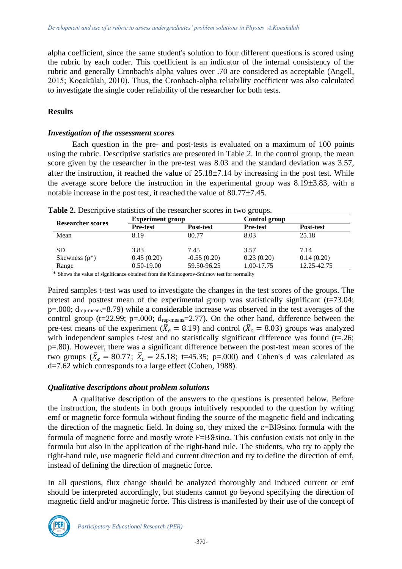alpha coefficient, since the same student's solution to four different questions is scored using the rubric by each coder. This coefficient is an indicator of the internal consistency of the rubric and generally Cronbach's alpha values over .70 are considered as acceptable (Angell, 2015; Kocakülah, 2010). Thus, the Cronbach-alpha reliability coefficient was also calculated to investigate the single coder reliability of the researcher for both tests.

#### **Results**

#### *Investigation of the assessment scores*

Each question in the pre- and post-tests is evaluated on a maximum of 100 points using the rubric. Descriptive statistics are presented in Table 2. In the control group, the mean score given by the researcher in the pre-test was 8.03 and the standard deviation was 3.57, after the instruction, it reached the value of  $25.18\pm7.14$  by increasing in the post test. While the average score before the instruction in the experimental group was  $8.19\pm3.83$ , with a notable increase in the post test, it reached the value of  $80.77 \pm 7.45$ .

|                          | <b>Experiment group</b> |               | Control group   |             |
|--------------------------|-------------------------|---------------|-----------------|-------------|
| <b>Researcher scores</b> | <b>Pre-test</b>         | Post-test     | <b>Pre-test</b> | Post-test   |
| Mean                     | 8.19                    | 80.77         | 8.03            | 25.18       |
| SD                       | 3.83                    | 7.45          | 3.57            | 7.14        |
| Skewness $(p^*)$         | 0.45(0.20)              | $-0.55(0.20)$ | 0.23(0.20)      | 0.14(0.20)  |
| Range                    | $0.50 - 19.00$          | 59.50-96.25   | 1.00-17.75      | 12.25-42.75 |

**Table 2.** Descriptive statistics of the researcher scores in two groups.

\* Shows the value of significance obtained from the Kolmogorov-Smirnov test for normality

Paired samples t-test was used to investigate the changes in the test scores of the groups. The pretest and posttest mean of the experimental group was statistically significant (t=73.04;  $p=0.00$ ;  $d_{rep-means}=8.79$ ) while a considerable increase was observed in the test averages of the control group ( $t=22.99$ ;  $p=.000$ ;  $d_{rep-means}=2.77$ ). On the other hand, difference between the pre-test means of the experiment ( $\bar{X}_e = 8.19$ ) and control ( $\bar{X}_c = 8.03$ ) groups was analyzed with independent samples t-test and no statistically significant difference was found (t=.26; p=.80). However, there was a significant difference between the post-test mean scores of the two groups ( $\bar{X}_e = 80.77$ ;  $\bar{X}_c = 25.18$ ; t=45.35; p=.000) and Cohen's d was calculated as d=7.62 which corresponds to a large effect (Cohen, 1988).

#### *Qualitative descriptions about problem solutions*

A qualitative description of the answers to the questions is presented below. Before the instruction, the students in both groups intuitively responded to the question by writing emf or magnetic force formula without finding the source of the magnetic field and indicating the direction of the magnetic field. In doing so, they mixed the  $\varepsilon = B19 \sin \alpha$  formula with the formula of magnetic force and mostly wrote  $F=B\hat{S}\sin\alpha$ . This confusion exists not only in the formula but also in the application of the right-hand rule. The students, who try to apply the right-hand rule, use magnetic field and current direction and try to define the direction of emf, instead of defining the direction of magnetic force.

In all questions, flux change should be analyzed thoroughly and induced current or emf should be interpreted accordingly, but students cannot go beyond specifying the direction of magnetic field and/or magnetic force. This distress is manifested by their use of the concept of

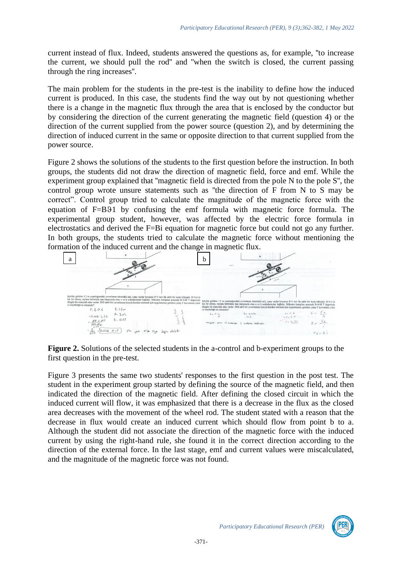current instead of flux. Indeed, students answered the questions as, for example, ''to increase the current, we should pull the rod'' and ''when the switch is closed, the current passing through the ring increases''.

The main problem for the students in the pre-test is the inability to define how the induced current is produced. In this case, the students find the way out by not questioning whether there is a change in the magnetic flux through the area that is enclosed by the conductor but by considering the direction of the current generating the magnetic field (question 4) or the direction of the current supplied from the power source (question 2), and by determining the direction of induced current in the same or opposite direction to that current supplied from the power source.

Figure 2 shows the solutions of the students to the first question before the instruction. In both groups, the students did not draw the direction of magnetic field, force and emf. While the experiment group explained that ''magnetic field is directed from the pole N to the pole S'', the control group wrote unsure statements such as ''the direction of F from N to S may be correct". Control group tried to calculate the magnitude of the magnetic force with the equation of F=B91 by confusing the emf formula with magnetic force formula. The experimental group student, however, was affected by the electric force formula in electrostatics and derived the F=Bi equation for magnetic force but could not go any further. In both groups, the students tried to calculate the magnetic force without mentioning the formation of the induced current and the change in magnetic flux.



**Figure 2.** Solutions of the selected students in the a-control and b-experiment groups to the first question in the pre-test.

Figure 3 presents the same two students' responses to the first question in the post test. The student in the experiment group started by defining the source of the magnetic field, and then indicated the direction of the magnetic field. After defining the closed circuit in which the induced current will flow, it was emphasized that there is a decrease in the flux as the closed area decreases with the movement of the wheel rod. The student stated with a reason that the decrease in flux would create an induced current which should flow from point b to a. Although the student did not associate the direction of the magnetic force with the induced current by using the right-hand rule, she found it in the correct direction according to the direction of the external force. In the last stage, emf and current values were miscalculated, and the magnitude of the magnetic force was not found.

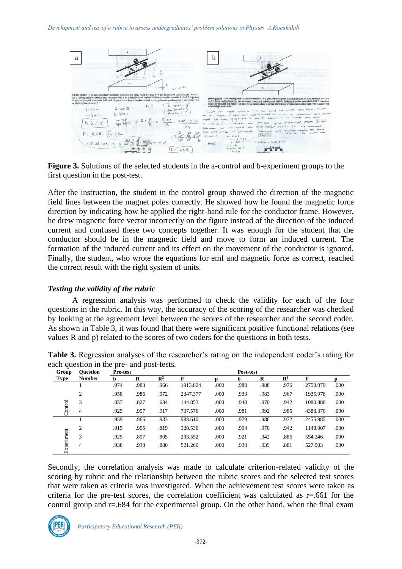

**Figure 3.** Solutions of the selected students in the a-control and b-experiment groups to the first question in the post-test.

After the instruction, the student in the control group showed the direction of the magnetic field lines between the magnet poles correctly. He showed how he found the magnetic force direction by indicating how he applied the right-hand rule for the conductor frame. However, he drew magnetic force vector incorrectly on the figure instead of the direction of the induced current and confused these two concepts together. It was enough for the student that the conductor should be in the magnetic field and move to form an induced current. The formation of the induced current and its effect on the movement of the conductor is ignored. Finally, the student, who wrote the equations for emf and magnetic force as correct, reached the correct result with the right system of units.

# *Testing the validity of the rubric*

A regression analysis was performed to check the validity for each of the four questions in the rubric. In this way, the accuracy of the scoring of the researcher was checked by looking at the agreement level between the scores of the researcher and the second coder. As shown in Table 3, it was found that there were significant positive functional relations (see values R and p) related to the scores of two coders for the questions in both tests.

| <b>Ouestion</b> | Pre-test |          |                |          |      | Post-test |      |                |          |      |
|-----------------|----------|----------|----------------|----------|------|-----------|------|----------------|----------|------|
| <b>Number</b>   | b        | $\bf{R}$ | $\mathbb{R}^2$ | F        |      | b.        | R    | $\mathbb{R}^2$ | F        |      |
|                 | .974     | .983     | .966           | 1913.024 | .000 | .988      | .988 | .976           | 2750.079 | .000 |
| 2               | .958     | .986     | .972           | 2347.377 | .000 | .933      | .983 | .967           | 1935.978 | .000 |
| 3               | .857     | .827     | .684           | 144.853  | .000 | .948      | .970 | .942           | 1080.880 | .000 |
| 4               | .929     | .957     | .917           | 737.576  | .000 | .981      | .992 | .985           | 4388.370 | .000 |
|                 | .959     | .966     | .933           | 983.610  | .000 | .979      | .986 | .972           | 2455.985 | .000 |
| 2               | .915     | .905     | .819           | 320.536  | .000 | .994      | .970 | .942           | 1148.907 | .000 |
| 3               | .925     | .897     | .805           | 293.552  | .000 | .921      | .942 | .886           | 554.246  | .000 |
| 4               | .938     | .938     | .880           | 521.260  | .000 | .938      | .939 | .881           | 527.903  | .000 |
|                 |          |          |                |          |      |           |      |                |          |      |

**Table 3.** Regression analyses of the researcher's rating on the independent coder's rating for each question in the pre- and post-tests.

Secondly, the correlation analysis was made to calculate criterion-related validity of the scoring by rubric and the relationship between the rubric scores and the selected test scores that were taken as criteria was investigated. When the achievement test scores were taken as criteria for the pre-test scores, the correlation coefficient was calculated as  $r = .661$  for the control group and  $r = .684$  for the experimental group. On the other hand, when the final exam

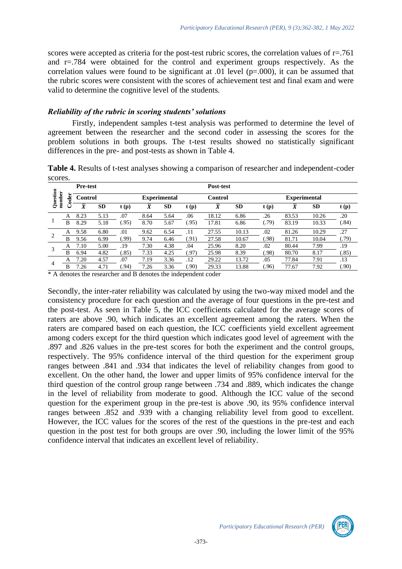scores were accepted as criteria for the post-test rubric scores, the correlation values of  $r = .761$ and r=.784 were obtained for the control and experiment groups respectively. As the correlation values were found to be significant at  $.01$  level ( $p=.000$ ), it can be assumed that the rubric scores were consistent with the scores of achievement test and final exam and were valid to determine the cognitive level of the students.

#### *Reliability of the rubric in scoring students' solutions*

Firstly, independent samples t-test analysis was performed to determine the level of agreement between the researcher and the second coder in assessing the scores for the problem solutions in both groups. The t-test results showed no statistically significant differences in the pre- and post-tests as shown in Table 4.

**Table 4.** Results of t-test analyses showing a comparison of researcher and independent-coder scores.

|                |             | <b>Pre-test</b> |           |       |                |                     |       | Post-test      |           |       |                     |           |       |
|----------------|-------------|-----------------|-----------|-------|----------------|---------------------|-------|----------------|-----------|-------|---------------------|-----------|-------|
| Question       | number<br>ä | <b>Control</b>  |           |       |                | <b>Experimental</b> |       | Control        |           |       | <b>Experimental</b> |           |       |
|                |             | $\overline{X}$  | <b>SD</b> | t(p)  | $\overline{X}$ | <b>SD</b>           | t(p)  | $\overline{X}$ | <b>SD</b> | t(p)  | $\bar{X}$           | <b>SD</b> | t(p)  |
|                | A           | 8.23            | 5.13      | .07   | 8.64           | 5.64                | .06   | 18.12          | 6.86      | .26   | 83.53               | 10.26     | .20   |
|                | B           | 8.29            | 5.18      | (.95) | 8.70           | 5.67                | (95)  | 17.81          | 6.86      | (.79) | 83.19               | 10.33     | (.84) |
| $\overline{2}$ | A           | 9.58            | 6.80      | .01   | 9.62           | 6.54                | .11   | 27.55          | 10.13     | .02   | 81.26               | 10.29     | .27   |
|                | в           | 9.56            | 6.99      | (99)  | 9.74           | 6.46                | (91)  | 27.58          | 10.67     | (.98) | 81.71               | 10.04     | (.79) |
| 3              | A           | 7.10            | 5.00      | .19   | 7.30           | 4.38                | .04   | 25.96          | 8.20      | .02   | 80.44               | 7.99      | .19   |
|                | в           | 6.94            | 4.82      | (.85) | 7.33           | 4.25                | (.97) | 25.98          | 8.39      | (.98) | 80.70               | 8.17      | (.85) |
| 4              | A           | 7.20            | 4.57      | .07   | 7.19           | 3.36                | .12   | 29.22          | 13.72     | .05   | 77.84               | 7.91      | .13   |
|                | B           | 7.26            | 4.71      | (94)  | 7.26           | 3.36                | .90)  | 29.33          | 13.88     | .96)  | 77.67               | 7.92      | .90)  |

\* A denotes the researcher and B denotes the independent coder

Secondly, the inter-rater reliability was calculated by using the two-way mixed model and the consistency procedure for each question and the average of four questions in the pre-test and the post-test. As seen in Table 5, the ICC coefficients calculated for the average scores of raters are above .90, which indicates an excellent agreement among the raters. When the raters are compared based on each question, the ICC coefficients yield excellent agreement among coders except for the third question which indicates good level of agreement with the .897 and .826 values in the pre-test scores for both the experiment and the control groups, respectively. The 95% confidence interval of the third question for the experiment group ranges between .841 and .934 that indicates the level of reliability changes from good to excellent. On the other hand, the lower and upper limits of 95% confidence interval for the third question of the control group range between .734 and .889, which indicates the change in the level of reliability from moderate to good. Although the ICC value of the second question for the experiment group in the pre-test is above .90, its 95% confidence interval ranges between .852 and .939 with a changing reliability level from good to excellent. However, the ICC values for the scores of the rest of the questions in the pre-test and each question in the post test for both groups are over .90, including the lower limit of the 95% confidence interval that indicates an excellent level of reliability.

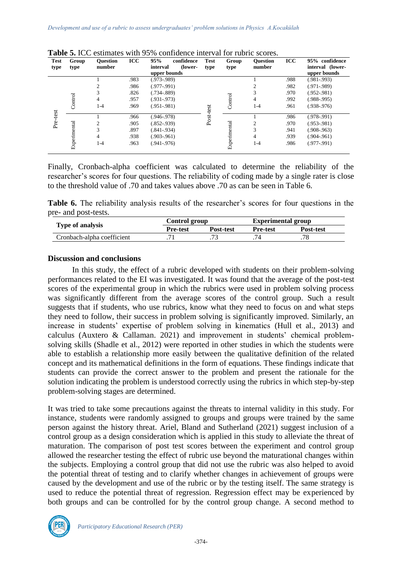| <b>Test</b><br>type | Group<br>type | <b>Ouestion</b><br>number | <b>ICC</b> | 95%<br>confidence<br>(lower-<br>interval<br>upper bounds | <b>Test</b><br>type | Group<br>type | <b>Ouestion</b><br>number | <b>ICC</b> | 95% confidence<br>interval (lower-<br>upper bounds |
|---------------------|---------------|---------------------------|------------|----------------------------------------------------------|---------------------|---------------|---------------------------|------------|----------------------------------------------------|
|                     |               |                           | .983       | $(.973-.989)$                                            |                     |               |                           | .988       | $(.981-.993)$                                      |
|                     |               | $\overline{c}$            | .986       | $(.977-.991)$                                            |                     |               | ↑                         | .982       | $(.971-.989)$                                      |
|                     |               | 3                         | .826       | $(.734 - .889)$                                          |                     |               | 3                         | .970       | $(.952-.981)$                                      |
|                     |               | 4                         | .957       | $(.931-.973)$                                            |                     |               | 4                         | .992       | $(.988-.995)$                                      |
|                     | Control       | $1 - 4$                   | .969       | $(.951-.981)$                                            | Post-test           | Control       | $1 - 4$                   | .961       | $(.938-.976)$                                      |
| Pre-test            |               |                           | .966       | $(.946-.978)$                                            |                     |               |                           | .986       | $(.978-.991)$                                      |
|                     |               | 2                         | .905       | $(.852-.939)$                                            |                     |               | $\overline{c}$            | .970       | $(.953-.981)$                                      |
|                     |               | 3                         | .897       | $(.841-.934)$                                            |                     |               | 3                         | .941       | $(.908-.963)$                                      |
|                     |               | 4                         | .938       | $(.903-.961)$                                            |                     |               | 4                         | .939       | $(.904 - .961)$                                    |
|                     | Experimental  | $1 - 4$                   | .963       | $(.941-.976)$                                            |                     | Experimental  | $1 - 4$                   | .986       | $(.977-.991)$                                      |

**Table 5.** ICC estimates with 95% confidence interval for rubric scores.

Finally, Cronbach-alpha coefficient was calculated to determine the reliability of the researcher's scores for four questions. The reliability of coding made by a single rater is close to the threshold value of .70 and takes values above .70 as can be seen in Table 6.

**Table 6.** The reliability analysis results of the researcher's scores for four questions in the pre- and post-tests.

|                            | Control group   |           | <b>Experimental group</b> |                  |
|----------------------------|-----------------|-----------|---------------------------|------------------|
| Type of analysis           | <b>Pre-test</b> | Post-test | Pre-test                  | <b>Post-test</b> |
| Cronbach-alpha coefficient |                 |           |                           |                  |

#### **Discussion and conclusions**

In this study, the effect of a rubric developed with students on their problem-solving performances related to the EI was investigated. It was found that the average of the post-test scores of the experimental group in which the rubrics were used in problem solving process was significantly different from the average scores of the control group. Such a result suggests that if students, who use rubrics, know what they need to focus on and what steps they need to follow, their success in problem solving is significantly improved. Similarly, an increase in students' expertise of problem solving in kinematics (Hull et al., 2013) and calculus (Auxtero & Callaman. 2021) and improvement in students' chemical problemsolving skills (Shadle et al., 2012) were reported in other studies in which the students were able to establish a relationship more easily between the qualitative definition of the related concept and its mathematical definitions in the form of equations. These findings indicate that students can provide the correct answer to the problem and present the rationale for the solution indicating the problem is understood correctly using the rubrics in which step-by-step problem-solving stages are determined.

It was tried to take some precautions against the threats to internal validity in this study. For instance, students were randomly assigned to groups and groups were trained by the same person against the history threat. Ariel, Bland and Sutherland (2021) suggest inclusion of a control group as a design consideration which is applied in this study to alleviate the threat of maturation. The comparison of post test scores between the experiment and control group allowed the researcher testing the effect of rubric use beyond the maturational changes within the subjects. Employing a control group that did not use the rubric was also helped to avoid the potential threat of testing and to clarify whether changes in achievement of groups were caused by the development and use of the rubric or by the testing itself. The same strategy is used to reduce the potential threat of regression. Regression effect may be experienced by both groups and can be controlled for by the control group change. A second method to

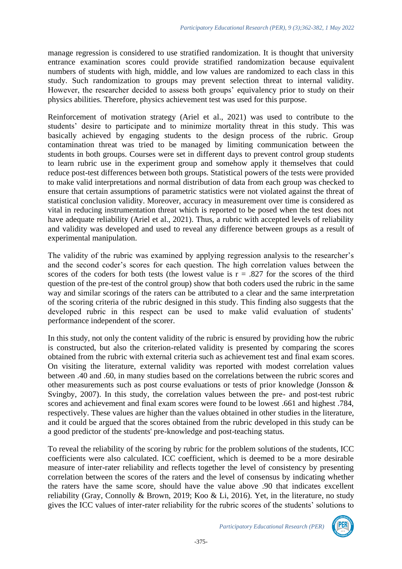manage regression is considered to use stratified randomization. It is thought that university entrance examination scores could provide stratified randomization because equivalent numbers of students with high, middle, and low values are randomized to each class in this study. Such randomization to groups may prevent selection threat to internal validity. However, the researcher decided to assess both groups' equivalency prior to study on their physics abilities. Therefore, physics achievement test was used for this purpose.

Reinforcement of motivation strategy (Ariel et al., 2021) was used to contribute to the students' desire to participate and to minimize mortality threat in this study. This was basically achieved by engaging students to the design process of the rubric. Group contamination threat was tried to be managed by limiting communication between the students in both groups. Courses were set in different days to prevent control group students to learn rubric use in the experiment group and somehow apply it themselves that could reduce post-test differences between both groups. Statistical powers of the tests were provided to make valid interpretations and normal distribution of data from each group was checked to ensure that certain assumptions of parametric statistics were not violated against the threat of statistical conclusion validity. Moreover, accuracy in measurement over time is considered as vital in reducing instrumentation threat which is reported to be posed when the test does not have adequate reliability (Ariel et al., 2021). Thus, a rubric with accepted levels of reliability and validity was developed and used to reveal any difference between groups as a result of experimental manipulation.

The validity of the rubric was examined by applying regression analysis to the researcher's and the second coder's scores for each question. The high correlation values between the scores of the coders for both tests (the lowest value is  $r = .827$  for the scores of the third question of the pre-test of the control group) show that both coders used the rubric in the same way and similar scorings of the raters can be attributed to a clear and the same interpretation of the scoring criteria of the rubric designed in this study. This finding also suggests that the developed rubric in this respect can be used to make valid evaluation of students' performance independent of the scorer.

In this study, not only the content validity of the rubric is ensured by providing how the rubric is constructed, but also the criterion-related validity is presented by comparing the scores obtained from the rubric with external criteria such as achievement test and final exam scores. On visiting the literature, external validity was reported with modest correlation values between .40 and .60, in many studies based on the correlations between the rubric scores and other measurements such as post course evaluations or tests of prior knowledge (Jonsson & Svingby, 2007). In this study, the correlation values between the pre- and post-test rubric scores and achievement and final exam scores were found to be lowest .661 and highest .784, respectively. These values are higher than the values obtained in other studies in the literature, and it could be argued that the scores obtained from the rubric developed in this study can be a good predictor of the students' pre-knowledge and post-teaching status.

To reveal the reliability of the scoring by rubric for the problem solutions of the students, ICC coefficients were also calculated. ICC coefficient, which is deemed to be a more desirable measure of inter-rater reliability and reflects together the level of consistency by presenting correlation between the scores of the raters and the level of consensus by indicating whether the raters have the same score, should have the value above .90 that indicates excellent reliability (Gray, Connolly & Brown, 2019; Koo & Li, 2016). Yet, in the literature, no study gives the ICC values of inter-rater reliability for the rubric scores of the students' solutions to

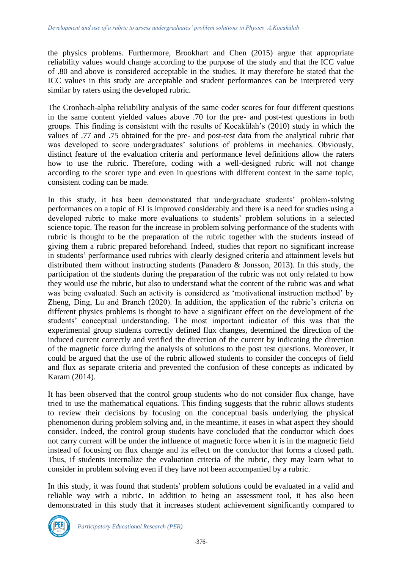the physics problems. Furthermore, Brookhart and Chen (2015) argue that appropriate reliability values would change according to the purpose of the study and that the ICC value of .80 and above is considered acceptable in the studies. It may therefore be stated that the ICC values in this study are acceptable and student performances can be interpreted very similar by raters using the developed rubric.

The Cronbach-alpha reliability analysis of the same coder scores for four different questions in the same content yielded values above .70 for the pre- and post-test questions in both groups. This finding is consistent with the results of Kocakülah's (2010) study in which the values of .77 and .75 obtained for the pre- and post-test data from the analytical rubric that was developed to score undergraduates' solutions of problems in mechanics. Obviously, distinct feature of the evaluation criteria and performance level definitions allow the raters how to use the rubric. Therefore, coding with a well-designed rubric will not change according to the scorer type and even in questions with different context in the same topic, consistent coding can be made.

In this study, it has been demonstrated that undergraduate students' problem-solving performances on a topic of EI is improved considerably and there is a need for studies using a developed rubric to make more evaluations to students' problem solutions in a selected science topic. The reason for the increase in problem solving performance of the students with rubric is thought to be the preparation of the rubric together with the students instead of giving them a rubric prepared beforehand. Indeed, studies that report no significant increase in students' performance used rubrics with clearly designed criteria and attainment levels but distributed them without instructing students (Panadero & Jonsson, 2013). In this study, the participation of the students during the preparation of the rubric was not only related to how they would use the rubric, but also to understand what the content of the rubric was and what was being evaluated. Such an activity is considered as 'motivational instruction method' by Zheng, Ding, Lu and Branch (2020). In addition, the application of the rubric's criteria on different physics problems is thought to have a significant effect on the development of the students' conceptual understanding. The most important indicator of this was that the experimental group students correctly defined flux changes, determined the direction of the induced current correctly and verified the direction of the current by indicating the direction of the magnetic force during the analysis of solutions to the post test questions. Moreover, it could be argued that the use of the rubric allowed students to consider the concepts of field and flux as separate criteria and prevented the confusion of these concepts as indicated by Karam (2014).

It has been observed that the control group students who do not consider flux change, have tried to use the mathematical equations. This finding suggests that the rubric allows students to review their decisions by focusing on the conceptual basis underlying the physical phenomenon during problem solving and, in the meantime, it eases in what aspect they should consider. Indeed, the control group students have concluded that the conductor which does not carry current will be under the influence of magnetic force when it is in the magnetic field instead of focusing on flux change and its effect on the conductor that forms a closed path. Thus, if students internalize the evaluation criteria of the rubric, they may learn what to consider in problem solving even if they have not been accompanied by a rubric.

In this study, it was found that students' problem solutions could be evaluated in a valid and reliable way with a rubric. In addition to being an assessment tool, it has also been demonstrated in this study that it increases student achievement significantly compared to

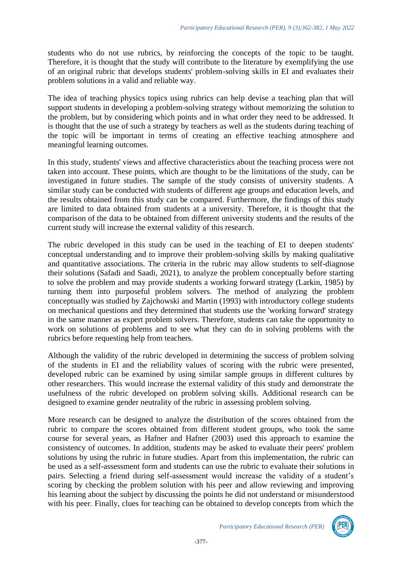students who do not use rubrics, by reinforcing the concepts of the topic to be taught. Therefore, it is thought that the study will contribute to the literature by exemplifying the use of an original rubric that develops students' problem-solving skills in EI and evaluates their problem solutions in a valid and reliable way.

The idea of teaching physics topics using rubrics can help devise a teaching plan that will support students in developing a problem-solving strategy without memorizing the solution to the problem, but by considering which points and in what order they need to be addressed. It is thought that the use of such a strategy by teachers as well as the students during teaching of the topic will be important in terms of creating an effective teaching atmosphere and meaningful learning outcomes.

In this study, students' views and affective characteristics about the teaching process were not taken into account. These points, which are thought to be the limitations of the study, can be investigated in future studies. The sample of the study consists of university students. A similar study can be conducted with students of different age groups and education levels, and the results obtained from this study can be compared. Furthermore, the findings of this study are limited to data obtained from students at a university. Therefore, it is thought that the comparison of the data to be obtained from different university students and the results of the current study will increase the external validity of this research.

The rubric developed in this study can be used in the teaching of EI to deepen students' conceptual understanding and to improve their problem-solving skills by making qualitative and quantitative associations. The criteria in the rubric may allow students to self-diagnose their solutions (Safadi and Saadi, 2021), to analyze the problem conceptually before starting to solve the problem and may provide students a working forward strategy (Larkin, 1985) by turning them into purposeful problem solvers. The method of analyzing the problem conceptually was studied by Zajchowski and Martin (1993) with introductory college students on mechanical questions and they determined that students use the 'working forward' strategy in the same manner as expert problem solvers. Therefore, students can take the opportunity to work on solutions of problems and to see what they can do in solving problems with the rubrics before requesting help from teachers.

Although the validity of the rubric developed in determining the success of problem solving of the students in EI and the reliability values of scoring with the rubric were presented, developed rubric can be examined by using similar sample groups in different cultures by other researchers. This would increase the external validity of this study and demonstrate the usefulness of the rubric developed on problem solving skills. Additional research can be designed to examine gender neutrality of the rubric in assessing problem solving.

More research can be designed to analyze the distribution of the scores obtained from the rubric to compare the scores obtained from different student groups, who took the same course for several years, as Hafner and Hafner (2003) used this approach to examine the consistency of outcomes. In addition, students may be asked to evaluate their peers' problem solutions by using the rubric in future studies. Apart from this implementation, the rubric can be used as a self-assessment form and students can use the rubric to evaluate their solutions in pairs. Selecting a friend during self-assessment would increase the validity of a student's scoring by checking the problem solution with his peer and allow reviewing and improving his learning about the subject by discussing the points he did not understand or misunderstood with his peer. Finally, clues for teaching can be obtained to develop concepts from which the

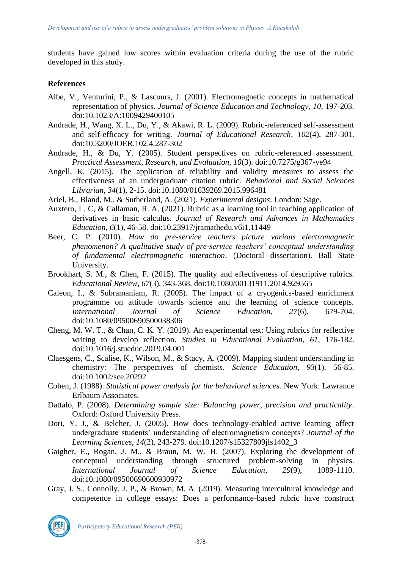students have gained low scores within evaluation criteria during the use of the rubric developed in this study.

#### **References**

- Albe, V., Venturini, P., & Lascours, J. (2001). Electromagnetic concepts in mathematical representation of physics. *Journal of Science Education and Technology*, *10*, 197-203. doi:10.1023/A:1009429400105
- Andrade, H., Wang, X. L., Du, Y., & Akawi, R. L. (2009). Rubric-referenced self-assessment and self-efficacy for writing. *Journal of Educational Research*, *102*(4), 287-301. doi:10.3200/JOER.102.4.287-302
- Andrade, H., & Du, Y. (2005). Student perspectives on rubric-referenced assessment. *Practical Assessment, Research, and Evaluation, 10*(3). doi:10.7275/g367-ye94
- Angell, K. (2015). The application of reliability and validity measures to assess the effectiveness of an undergraduate citation rubric. *Behavioral and Social Sciences Librarian*, *34*(1), 2-15. doi[:10.1080/01639269.2015.996481](https://doi.org/10.1080/01639269.2015.996481)
- Ariel, B., Bland, M., & Sutherland, A. (2021). *Experimental designs*. London: Sage.
- Auxtero, L. C, & Callaman, R. A. (2021). Rubric as a learning tool in teaching application of derivatives in basic calculus. *Journal of Research and Advances in Mathematics Education*, *6*(1), 46-58. doi:10.23917/jramathedu.v6i1.11449
- Beer, C. P. (2010). *How do pre-service teachers picture various electromagnetic phenomenon? A qualitative study of pre-service teachers' conceptual understanding of fundamental electromagnetic interaction*. (Doctoral dissertation). Ball State University.
- Brookhart, S. M., & Chen, F. (2015). The quality and effectiveness of descriptive rubrics. *Educational Review*, *67*(3), 343-368. doi[:10.1080/00131911.2014.929565](https://doi.org/10.1080/00131911.2014.929565)
- Caleon, I., & Subramaniam, R. (2005). The impact of a cryogenics-based enrichment programme on attitude towards science and the learning of science concepts. *International Journal of Science Education*, *27*(6), 679-704. doi[:10.1080/09500690500038306](https://doi.org/10.1080/09500690500038306)
- Cheng, M. W. T., & Chan, C. K. Y. (2019). An experimental test: Using rubrics for reflective writing to develop reflection. *Studies in Educational Evaluation*, *61*, 176-182. doi[:10.1016/j.stueduc.2019.04.001](https://doi.org/10.1016/j.stueduc.2019.04.001)
- Claesgens, C., Scalise, K., Wilson, M., & Stacy, A. (2009). Mapping student understanding in chemistry: The perspectives of chemists. *Science Education*, *93*(1), 56-85. doi[:10.1002/sce.20292](https://doi.org/10.1002/sce.20292)
- Cohen, J. (1988). *Statistical power analysis for the behavioral sciences*. New York: Lawrance Erlbaum Associates.
- Dattalo, P. (2008). *Determining sample size: Balancing power, precision and practicality*. Oxford: Oxford University Press.
- Dori, Y. J., & Belcher, J. (2005). How does technology-enabled active learning affect undergraduate students' understanding of electromagnetism concepts? *Journal of the Learning Sciences*, *14*(2), 243-279. doi[:10.1207/s15327809jls1402\\_3](https://doi.org/10.1207/s15327809jls1402_3)
- Gaigher, E., Rogan, J. M., & Braun, M. W. H. (2007). Exploring the development of conceptual understanding through structured problem-solving in physics. *International Journal of Science Education*, *29*(9), 1089-1110. doi[:10.1080/09500690600930972](https://doi.org/10.1080/09500690600930972)
- Gray, J. S., Connolly, J. P., & Brown, M. A. (2019). Measuring intercultural knowledge and competence in college essays: Does a performance-based rubric have construct

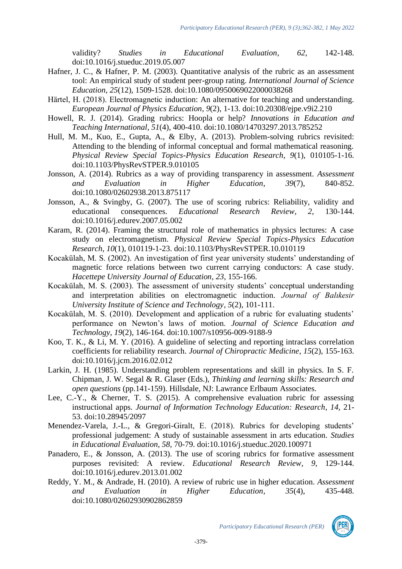validity? *Studies in Educational Evaluation*, *62*, 142-148. doi[:10.1016/j.stueduc.2019.05.007](https://doi.org/10.1016/j.stueduc.2019.05.007)

- Hafner, J. C., & Hafner, P. M. (2003). Quantitative analysis of the rubric as an assessment tool: An empirical study of student peer-group rating. *International Journal of Science Education*, *25*(12), 1509-1528. doi[:10.1080/0950069022000038268](https://doi.org/10.1080/0950069022000038268)
- Härtel, H. (2018). Electromagnetic induction: An alternative for teaching and understanding. *European Journal of Physics Education*, *9*(2), 1-13. doi[:10.20308/ejpe.v9i2.210](https://doi.org/10.20308/ejpe.v9i2.210)
- Howell, R. J. (2014). Grading rubrics: Hoopla or help? *Innovations in Education and Teaching International*, *51*(4), 400-410. doi[:10.1080/14703297.2013.785252](https://doi.org/10.1080/14703297.2013.785252)
- Hull, M. M., Kuo, E., Gupta, A., & Elby, A. (2013). Problem-solving rubrics revisited: Attending to the blending of informal conceptual and formal mathematical reasoning. *Physical Review Special Topics-Physics Education Research*, *9*(1), 010105-1-16. doi:10.1103/PhysRevSTPER.9.010105
- Jonsson, A. (2014). Rubrics as a way of providing transparency in assessment. *Assessment and Evaluation in Higher Education*, *39*(7), 840-852. doi[:10.1080/02602938.2013.875117](https://doi.org/10.1080/02602938.2013.875117)
- Jonsson, A., & Svingby, G. (2007). The use of scoring rubrics: Reliability, validity and educational consequences. *Educational Research Review*, *2*, 130-144. doi[:10.1016/j.edurev.2007.05.002](https://doi.org/10.1016/j.edurev.2007.05.002)
- Karam, R. (2014). Framing the structural role of mathematics in physics lectures: A case study on electromagnetism. *Physical Review Special Topics-Physics Education Research*, *10*(1), 010119-1-23. doi:10.1103/PhysRevSTPER.10.010119
- Kocakülah, M. S. (2002). An investigation of first year university students' understanding of magnetic force relations between two current carrying conductors: A case study. *Hacettepe University Journal of Education*, *23*, 155-166.
- Kocakülah, M. S. (2003). The assessment of university students' conceptual understanding and interpretation abilities on electromagnetic induction. *Journal of Balıkesir University Institute of Science and Technology*, *5*(2), 101-111.
- Kocakülah, M. S. (2010). Development and application of a rubric for evaluating students' performance on Newton's laws of motion. *Journal of Science Education and Technology*, *19*(2), 146-164. doi:10.1007/s10956-009-9188-9
- Koo, T. K., & Li, M. Y. (2016). A guideline of selecting and reporting intraclass correlation coefficients for reliability research. *Journal of Chiropractic Medicine*, *15*(2), 155-163. doi[:10.1016/j.jcm.2016.02.012](https://doi.org/10.1016/j.jcm.2016.02.012)
- Larkin, J. H. (1985). Understanding problem representations and skill in physics. In S. F. Chipman, J. W. Segal & R. Glaser (Eds.), *Thinking and learning skills: Research and open questions* (pp.141-159). Hillsdale, NJ: Lawrance Erlbaum Associates.
- Lee, C.-Y., & Cherner, T. S. (2015). A comprehensive evaluation rubric for assessing instructional apps. *Journal of Information Technology Education: Research*, *14*, 21- 53. doi[:10.28945/2097](https://doi.org/10.28945/2097)
- Menendez-Varela, J.-L., & Gregori-Giralt, E. (2018). Rubrics for developing students' professional judgement: A study of sustainable assessment in arts education. *Studies in Educational Evaluation*, *58*, 70-79. doi[:10.1016/j.stueduc.2020.100971](https://doi.org/10.1016/j.stueduc.2020.100971)
- Panadero, E., & Jonsson, A. (2013). The use of scoring rubrics for formative assessment purposes revisited: A review. *Educational Research Review*, *9*, 129-144. doi:10.1016/j.edurev.2013.01.002
- Reddy, Y. M., & Andrade, H. (2010). A review of rubric use in higher education. *Assessment and Evaluation in Higher Education*, *35*(4), 435-448. doi[:10.1080/02602930902862859](https://doi.org/10.1080/02602930902862859)

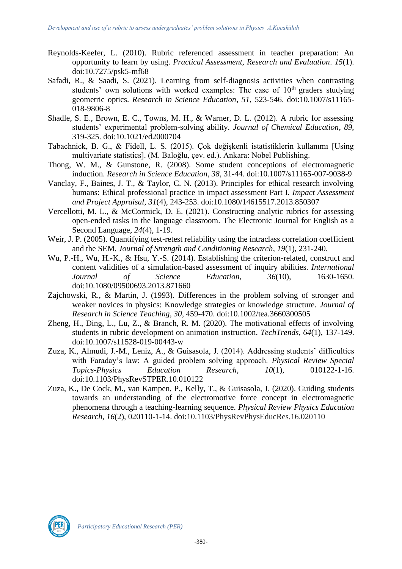- Reynolds-Keefer, L. (2010). Rubric referenced assessment in teacher preparation: An opportunity to learn by using. *Practical Assessment, Research and Evaluation*. *15*(1). doi:10.7275/psk5-mf68
- Safadi, R., & Saadi, S. (2021). Learning from self-diagnosis activities when contrasting students' own solutions with worked examples: The case of  $10<sup>th</sup>$  graders studying geometric optics. *Research in Science Education*, *51*, 523-546. doi:10.1007/s11165- 018-9806-8
- Shadle, S. E., Brown, E. C., Towns, M. H., & Warner, D. L. (2012). A rubric for assessing students' experimental problem-solving ability. *Journal of Chemical Education*, *89*, 319-325. doi[:10.1021/ed2000704](https://doi.org/10.1021/ed2000704)
- Tabachnick, B. G., & Fidell, L. S. (2015). Çok değişkenli istatistiklerin kullanımı [Using multivariate statistics]. (M. Baloğlu, çev. ed.). Ankara: Nobel Publishing.
- Thong, W. M., & Gunstone, R. (2008). Some student conceptions of electromagnetic induction. *Research in Science Education*, *38*, 31-44. doi:10.1007/s11165-007-9038-9
- Vanclay, F., Baines, J. T., & Taylor, C. N. (2013). Principles for ethical research involving humans: Ethical professional practice in impact assessment Part I. *Impact Assessment and Project Appraisal*, *31*(4), 243-253. doi:10.1080/14615517.2013.850307
- Vercellotti, M. L., & McCormick, D. E. (2021). Constructing analytic rubrics for assessing open-ended tasks in the language classroom. The Electronic Journal for English as a Second Language, *24*(4), 1-19.
- Weir, J. P. (2005). Quantifying test-retest reliability using the intraclass correlation coefficient and the SEM. *Journal of Strength and Conditioning Research*, *19*(1), 231-240.
- Wu, P.-H., Wu, H.-K., & Hsu, Y.-S. (2014). Establishing the criterion-related, construct and content validities of a simulation-based assessment of inquiry abilities. *International Journal of Science Education*, *36*(10), 1630-1650. doi[:10.1080/09500693.2013.871660](https://doi.org/10.1080/09500693.2013.871660)
- Zajchowski, R., & Martin, J. (1993). Differences in the problem solving of stronger and weaker novices in physics: Knowledge strategies or knowledge structure. *Journal of Research in Science Teaching*, *30*, 459-470. doi[:10.1002/tea.3660300505](https://doi.org/10.1002/tea.3660300505)
- Zheng, H., Ding, L., Lu, Z., & Branch, R. M. (2020). The motivational effects of involving students in rubric development on animation instruction. *TechTrends*, *64*(1), 137-149. doi:10.1007/s11528-019-00443-w
- Zuza, K., Almudi, J.-M., Leniz, A., & Guisasola, J. (2014). Addressing students' difficulties with Faraday's law: A guided problem solving approach. *Physical Review Special Topics-Physics Education Research*, *10*(1), 010122-1-16. doi:10.1103/PhysRevSTPER.10.010122
- Zuza, K., De Cock, M., van Kampen, P., Kelly, T., & Guisasola, J. (2020). Guiding students towards an understanding of the electromotive force concept in electromagnetic phenomena through a teaching-learning sequence. *Physical Review Physics Education Research*, *16*(2), 020110-1-14. doi:10.1103/PhysRevPhysEducRes.16.020110

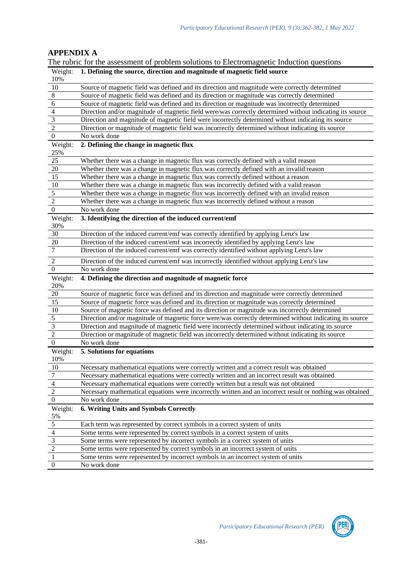# **APPENDIX A**

|                                                   | The rubric for the assessment of problem solutions to Electromagnetic Induction questions                                                                          |
|---------------------------------------------------|--------------------------------------------------------------------------------------------------------------------------------------------------------------------|
| Weight:                                           | 1. Defining the source, direction and magnitude of magnetic field source                                                                                           |
| 10%                                               |                                                                                                                                                                    |
| $\overline{10}$                                   | Source of magnetic field was defined and its direction and magnitude were correctly determined                                                                     |
| $\frac{8}{6}$                                     | Source of magnetic field was defined and its direction or magnitude was correctly determined                                                                       |
|                                                   | Source of magnetic field was defined and its direction or magnitude was incorrectly determined                                                                     |
|                                                   | Direction and/or magnitude of magnetic field were/was correctly determined without indicating its source                                                           |
| $\frac{4}{3}$                                     | Direction and magnitude of magnetic field were incorrectly determined without indicating its source                                                                |
| $\overline{2}$                                    | Direction or magnitude of magnetic field was incorrectly determined without indicating its source                                                                  |
| $\overline{0}$                                    | No work done                                                                                                                                                       |
| Weight:                                           | 2. Defining the change in magnetic flux                                                                                                                            |
| 25%                                               |                                                                                                                                                                    |
| 25                                                | Whether there was a change in magnetic flux was correctly defined with a valid reason                                                                              |
| 20                                                | Whether there was a change in magnetic flux was correctly defined with an invalid reason                                                                           |
| 15                                                | Whether there was a change in magnetic flux was correctly defined without a reason                                                                                 |
| $10\,$                                            | Whether there was a change in magnetic flux was incorrectly defined with a valid reason                                                                            |
| 5                                                 | Whether there was a change in magnetic flux was incorrectly defined with an invalid reason                                                                         |
| $\overline{c}$                                    | Whether there was a change in magnetic flux was incorrectly defined without a reason                                                                               |
| $\boldsymbol{0}$                                  | No work done                                                                                                                                                       |
| Weight:                                           | 3. Identifying the direction of the induced current/emf                                                                                                            |
| 30%                                               |                                                                                                                                                                    |
| 30                                                | Direction of the induced current/emf was correctly identified by applying Lenz's law                                                                               |
| 20                                                | Direction of the induced current/emf was incorrectly identified by applying Lenz's law                                                                             |
| 7                                                 | Direction of the induced current/emf was correctly identified without applying Lenz's law                                                                          |
| 2                                                 | Direction of the induced current/emf was incorrectly identified without applying Lenz's law                                                                        |
|                                                   |                                                                                                                                                                    |
|                                                   |                                                                                                                                                                    |
| $\boldsymbol{0}$                                  | No work done                                                                                                                                                       |
| Weight:                                           | 4. Defining the direction and magnitude of magnetic force                                                                                                          |
| 20%                                               |                                                                                                                                                                    |
| 20                                                | Source of magnetic force was defined and its direction and magnitude were correctly determined                                                                     |
| 15                                                | Source of magnetic force was defined and its direction or magnitude was correctly determined                                                                       |
| 10                                                | Source of magnetic force was defined and its direction or magnitude was incorrectly determined                                                                     |
| $\overline{\mathbf{5}}$                           | Direction and/or magnitude of magnetic force were/was correctly determined without indicating its source                                                           |
| $\overline{3}$                                    | Direction and magnitude of magnetic field were incorrectly determined without indicating its source                                                                |
| $\overline{2}$                                    | Direction or magnitude of magnetic field was incorrectly determined without indicating its source                                                                  |
| $\boldsymbol{0}$                                  | No work done                                                                                                                                                       |
| Weight:                                           | 5. Solutions for equations                                                                                                                                         |
| 10%                                               |                                                                                                                                                                    |
| 10                                                | Necessary mathematical equations were correctly written and a correct result was obtained                                                                          |
|                                                   | Necessary mathematical equations were correctly written and an incorrect result was obtained                                                                       |
|                                                   | Necessary mathematical equations were correctly written but a result was not obtained                                                                              |
|                                                   | Necessary mathematical equations were incorrectly written and an incorrect result or nothing was obtained                                                          |
| $\frac{7}{\frac{4}{0}}$                           | No work done                                                                                                                                                       |
| Weight:                                           | 6. Writing Units and Symbols Correctly                                                                                                                             |
|                                                   |                                                                                                                                                                    |
|                                                   | Each term was represented by correct symbols in a correct system of units                                                                                          |
|                                                   | Some terms were represented by correct symbols in a correct system of units                                                                                        |
|                                                   | Some terms were represented by incorrect symbols in a correct system of units                                                                                      |
| $\frac{\frac{5\%}{5}}{\frac{4}{2}}$ $\frac{3}{1}$ | Some terms were represented by correct symbols in an incorrect system of units<br>Some terms were represented by incorrect symbols in an incorrect system of units |